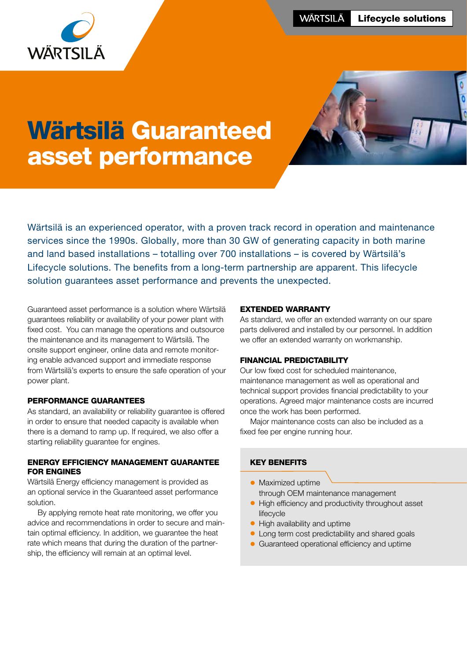

# Wärtsilä Guaranteed asset performance



Wärtsilä is an experienced operator, with a proven track record in operation and maintenance services since the 1990s. Globally, more than 30 GW of generating capacity in both marine and land based installations – totalling over 700 installations – is covered by Wärtsilä's Lifecycle solutions. The benefits from a long-term partnership are apparent. This lifecycle solution guarantees asset performance and prevents the unexpected.

Guaranteed asset performance is a solution where Wärtsilä guarantees reliability or availability of your power plant with fixed cost. You can manage the operations and outsource the maintenance and its management to Wärtsilä. The onsite support engineer, online data and remote monitoring enable advanced support and immediate response from Wärtsilä's experts to ensure the safe operation of your power plant.

## PERFORMANCE GUARANTEES

As standard, an availability or reliability guarantee is offered in order to ensure that needed capacity is available when there is a demand to ramp up. If required, we also offer a starting reliability guarantee for engines.

## ENERGY EFFICIENCY MANAGEMENT GUARANTEE FOR ENGINES

Wärtsilä Energy efficiency management is provided as an optional service in the Guaranteed asset performance solution.

By applying remote heat rate monitoring, we offer you advice and recommendations in order to secure and maintain optimal efficiency. In addition, we guarantee the heat rate which means that during the duration of the partnership, the efficiency will remain at an optimal level.

#### EXTENDED WARRANTY

As standard, we offer an extended warranty on our spare parts delivered and installed by our personnel. In addition we offer an extended warranty on workmanship.

#### FINANCIAL PREDICTABILITY

Our low fixed cost for scheduled maintenance, maintenance management as well as operational and technical support provides financial predictability to your operations. Agreed major maintenance costs are incurred once the work has been performed.

Major maintenance costs can also be included as a fixed fee per engine running hour.

# KEY BENEFITS

- Maximized uptime through OEM maintenance management
- High efficiency and productivity throughout asset lifecycle
- High availability and uptime
- Long term cost predictability and shared goals
- Guaranteed operational efficiency and uptime